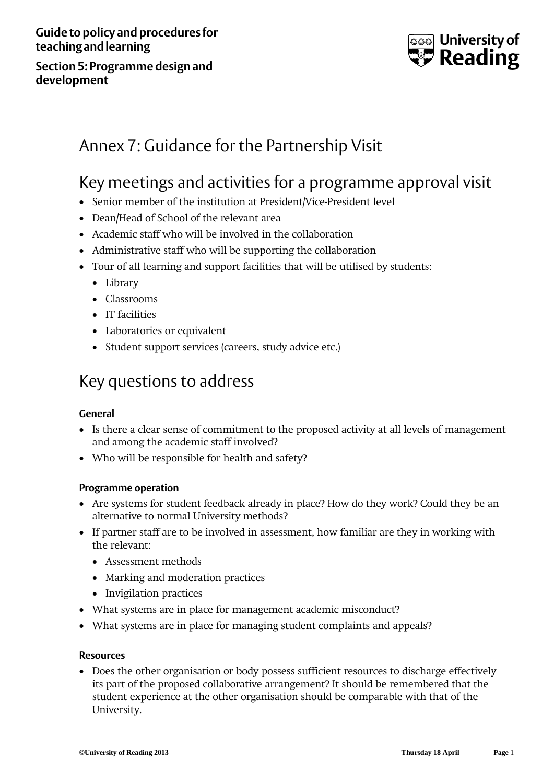Guide to policy and procedures for<br> **Reaching and learning**<br>
Section 5: Programme design and **teaching and learning**

**Section 5: Programme design and development**



# Annex 7: Guidance for the Partnership Visit

# Key meetings and activities for a programme approval visit

- Senior member of the institution at President/Vice-President level
- Dean/Head of School of the relevant area
- Academic staff who will be involved in the collaboration
- Administrative staff who will be supporting the collaboration
- Tour of all learning and support facilities that will be utilised by students:
	- Library
	- Classrooms
	- IT facilities
	- Laboratories or equivalent
	- Student support services (careers, study advice etc.)

## Key questions to address

## **General**

- Is there a clear sense of commitment to the proposed activity at all levels of management and among the academic staff involved?
- Who will be responsible for health and safety?

### **Programme operation**

- Are systems for student feedback already in place? How do they work? Could they be an alternative to normal University methods?
- If partner staff are to be involved in assessment, how familiar are they in working with the relevant:
	- Assessment methods
	- Marking and moderation practices
	- Invigilation practices
- What systems are in place for management academic misconduct?
- What systems are in place for managing student complaints and appeals?

#### **Resources**

• Does the other organisation or body possess sufficient resources to discharge effectively its part of the proposed collaborative arrangement? It should be remembered that the student experience at the other organisation should be comparable with that of the University.